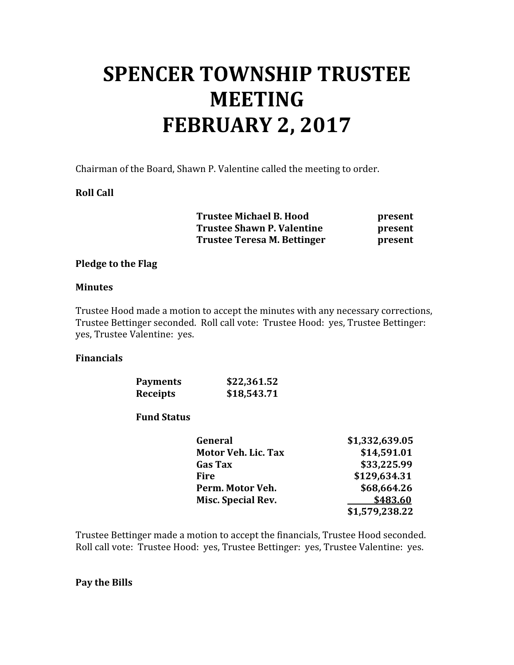# SPENCER TOWNSHIP TRUSTEE **MEETING** FEBRUARY 2, 2017

Chairman of the Board, Shawn P. Valentine called the meeting to order.

#### Roll Call

 Trustee Michael B. Hood present Trustee Shawn P. Valentine **present** Trustee Teresa M. Bettinger **present** 

#### Pledge to the Flag

#### **Minutes**

Trustee Hood made a motion to accept the minutes with any necessary corrections, Trustee Bettinger seconded. Roll call vote: Trustee Hood: yes, Trustee Bettinger: yes, Trustee Valentine: yes.

#### Financials

| <b>Payments</b> | \$22,361.52 |
|-----------------|-------------|
| <b>Receipts</b> | \$18,543.71 |

#### Fund Status

| General                    | \$1,332,639.05 |
|----------------------------|----------------|
| <b>Motor Veh. Lic. Tax</b> | \$14,591.01    |
| <b>Gas Tax</b>             | \$33,225.99    |
| Fire                       | \$129,634.31   |
| Perm. Motor Veh.           | \$68,664.26    |
| Misc. Special Rev.         | \$483.60       |
|                            | \$1,579,238.22 |

Trustee Bettinger made a motion to accept the financials, Trustee Hood seconded. Roll call vote: Trustee Hood: yes, Trustee Bettinger: yes, Trustee Valentine: yes.

#### Pay the Bills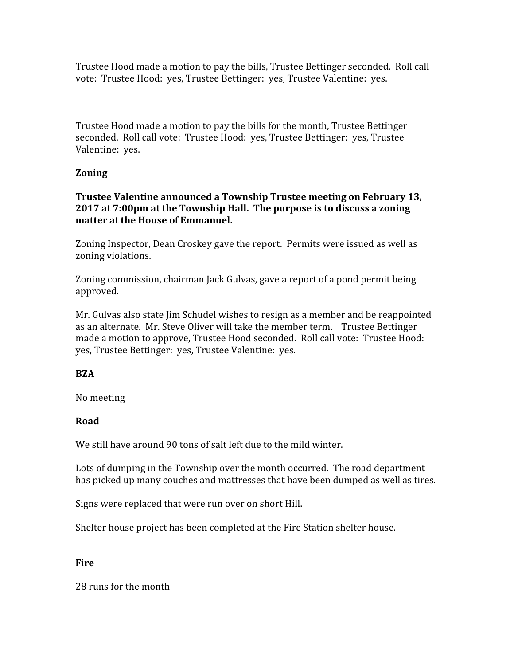Trustee Hood made a motion to pay the bills, Trustee Bettinger seconded. Roll call vote: Trustee Hood: yes, Trustee Bettinger: yes, Trustee Valentine: yes.

Trustee Hood made a motion to pay the bills for the month, Trustee Bettinger seconded. Roll call vote: Trustee Hood: yes, Trustee Bettinger: yes, Trustee Valentine: yes.

# Zoning

## Trustee Valentine announced a Township Trustee meeting on February 13, 2017 at 7:00pm at the Township Hall. The purpose is to discuss a zoning matter at the House of Emmanuel.

Zoning Inspector, Dean Croskey gave the report. Permits were issued as well as zoning violations.

Zoning commission, chairman Jack Gulvas, gave a report of a pond permit being approved.

Mr. Gulvas also state Jim Schudel wishes to resign as a member and be reappointed as an alternate. Mr. Steve Oliver will take the member term. Trustee Bettinger made a motion to approve, Trustee Hood seconded. Roll call vote: Trustee Hood: yes, Trustee Bettinger: yes, Trustee Valentine: yes.

## BZA

No meeting

## Road

We still have around 90 tons of salt left due to the mild winter.

Lots of dumping in the Township over the month occurred. The road department has picked up many couches and mattresses that have been dumped as well as tires.

Signs were replaced that were run over on short Hill.

Shelter house project has been completed at the Fire Station shelter house.

## Fire

28 runs for the month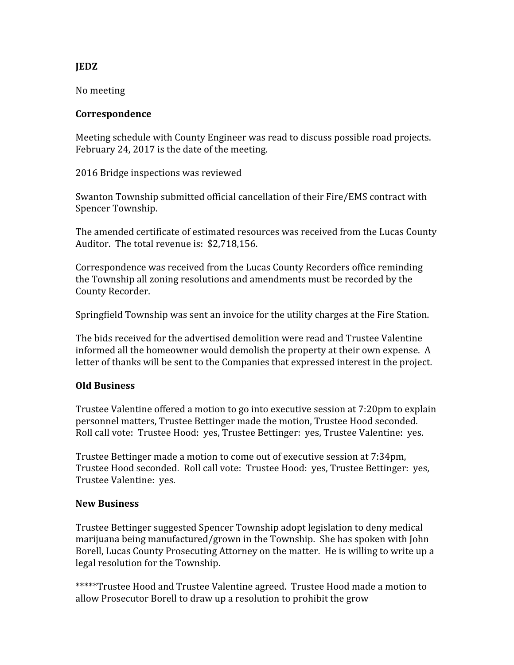## JEDZ

No meeting

#### Correspondence

Meeting schedule with County Engineer was read to discuss possible road projects. February 24, 2017 is the date of the meeting.

2016 Bridge inspections was reviewed

Swanton Township submitted official cancellation of their Fire/EMS contract with Spencer Township.

The amended certificate of estimated resources was received from the Lucas County Auditor. The total revenue is: \$2,718,156.

Correspondence was received from the Lucas County Recorders office reminding the Township all zoning resolutions and amendments must be recorded by the County Recorder.

Springfield Township was sent an invoice for the utility charges at the Fire Station.

The bids received for the advertised demolition were read and Trustee Valentine informed all the homeowner would demolish the property at their own expense. A letter of thanks will be sent to the Companies that expressed interest in the project.

## Old Business

Trustee Valentine offered a motion to go into executive session at 7:20pm to explain personnel matters, Trustee Bettinger made the motion, Trustee Hood seconded. Roll call vote: Trustee Hood: yes, Trustee Bettinger: yes, Trustee Valentine: yes.

Trustee Bettinger made a motion to come out of executive session at 7:34pm, Trustee Hood seconded. Roll call vote: Trustee Hood: yes, Trustee Bettinger: yes, Trustee Valentine: yes.

## New Business

Trustee Bettinger suggested Spencer Township adopt legislation to deny medical marijuana being manufactured/grown in the Township. She has spoken with John Borell, Lucas County Prosecuting Attorney on the matter. He is willing to write up a legal resolution for the Township.

\*\*\*\*\*Trustee Hood and Trustee Valentine agreed. Trustee Hood made a motion to allow Prosecutor Borell to draw up a resolution to prohibit the grow